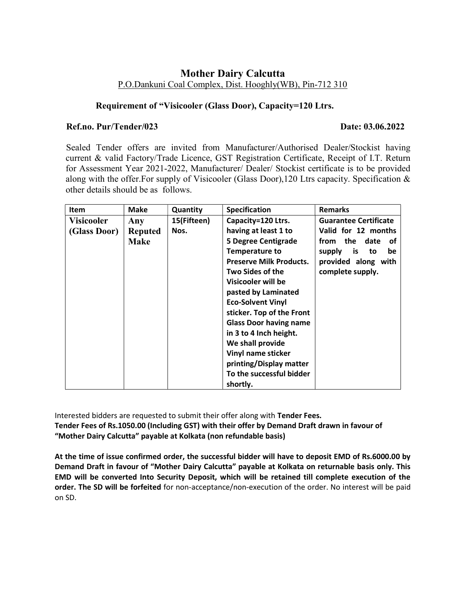## Mother Dairy Calcutta P.O.Dankuni Coal Complex, Dist. Hooghly(WB), Pin-712 310

## Requirement of "Visicooler (Glass Door), Capacity=120 Ltrs.

## Ref.no. Pur/Tender/023 Date: 03.06.2022

 Sealed Tender offers are invited from Manufacturer/Authorised Dealer/Stockist having current & valid Factory/Trade Licence, GST Registration Certificate, Receipt of I.T. Return for Assessment Year 2021-2022, Manufacturer/ Dealer/ Stockist certificate is to be provided along with the offer.For supply of Visicooler (Glass Door),120 Ltrs capacity. Specification & other details should be as follows.

| <b>Item</b>       | <b>Make</b>    | Quantity    | Specification                  | <b>Remarks</b>               |
|-------------------|----------------|-------------|--------------------------------|------------------------------|
| <b>Visicooler</b> | Any            | 15(Fifteen) | Capacity=120 Ltrs.             | <b>Guarantee Certificate</b> |
| (Glass Door)      | <b>Reputed</b> | Nos.        | having at least 1 to           | Valid for 12 months          |
|                   | <b>Make</b>    |             | <b>5 Degree Centigrade</b>     | from the<br>date<br>оf       |
|                   |                |             | <b>Temperature to</b>          | supply<br>is<br>be<br>to     |
|                   |                |             | <b>Preserve Milk Products.</b> | provided along with          |
|                   |                |             | <b>Two Sides of the</b>        | complete supply.             |
|                   |                |             | Visicooler will be             |                              |
|                   |                |             | pasted by Laminated            |                              |
|                   |                |             | <b>Eco-Solvent Vinyl</b>       |                              |
|                   |                |             | sticker. Top of the Front      |                              |
|                   |                |             | <b>Glass Door having name</b>  |                              |
|                   |                |             | in 3 to 4 Inch height.         |                              |
|                   |                |             | We shall provide               |                              |
|                   |                |             | Vinyl name sticker             |                              |
|                   |                |             | printing/Display matter        |                              |
|                   |                |             | To the successful bidder       |                              |
|                   |                |             | shortly.                       |                              |

Interested bidders are requested to submit their offer along with Tender Fees. Tender Fees of Rs.1050.00 (Including GST) with their offer by Demand Draft drawn in favour of "Mother Dairy Calcutta" payable at Kolkata (non refundable basis)

At the time of issue confirmed order, the successful bidder will have to deposit EMD of Rs.6000.00 by Demand Draft in favour of "Mother Dairy Calcutta" payable at Kolkata on returnable basis only. This EMD will be converted Into Security Deposit, which will be retained till complete execution of the order. The SD will be forfeited for non-acceptance/non-execution of the order. No interest will be paid on SD.